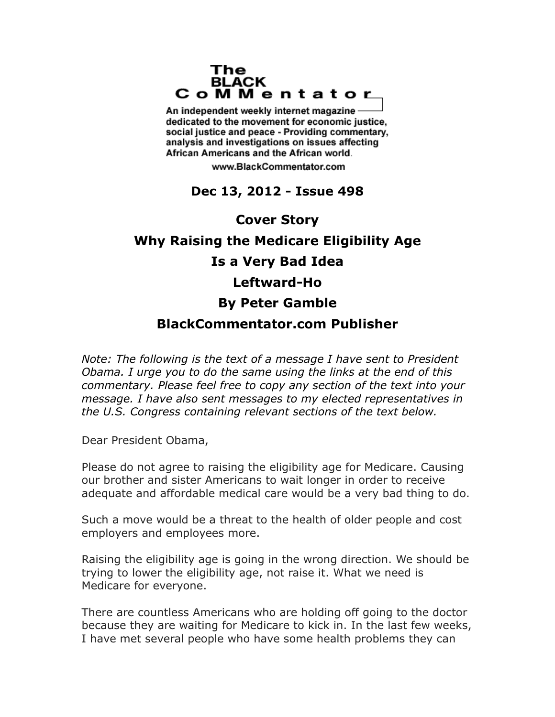## The **BLACK** CoMMentator

An independent weekly internet magazine dedicated to the movement for economic justice. social justice and peace - Providing commentary, analysis and investigations on issues affecting African Americans and the African world.

www.BlackCommentator.com

## **Dec 13, 2012 - Issue 498**

## **Cover Story Why Raising the Medicare Eligibility Age Is a Very Bad Idea Leftward-Ho By Peter Gamble BlackCommentator.com Publisher**

*Note: The following is the text of a message I have sent to President Obama. I urge you to do the same using the links at the end of this commentary. Please feel free to copy any section of the text into your message. I have also sent messages to my elected representatives in the U.S. Congress containing relevant sections of the text below.*

Dear President Obama,

Please do not agree to raising the eligibility age for Medicare. Causing our brother and sister Americans to wait longer in order to receive adequate and affordable medical care would be a very bad thing to do.

Such a move would be a threat to the health of older people and cost employers and employees more.

Raising the eligibility age is going in the wrong direction. We should be trying to lower the eligibility age, not raise it. What we need is Medicare for everyone.

There are countless Americans who are holding off going to the doctor because they are waiting for Medicare to kick in. In the last few weeks, I have met several people who have some health problems they can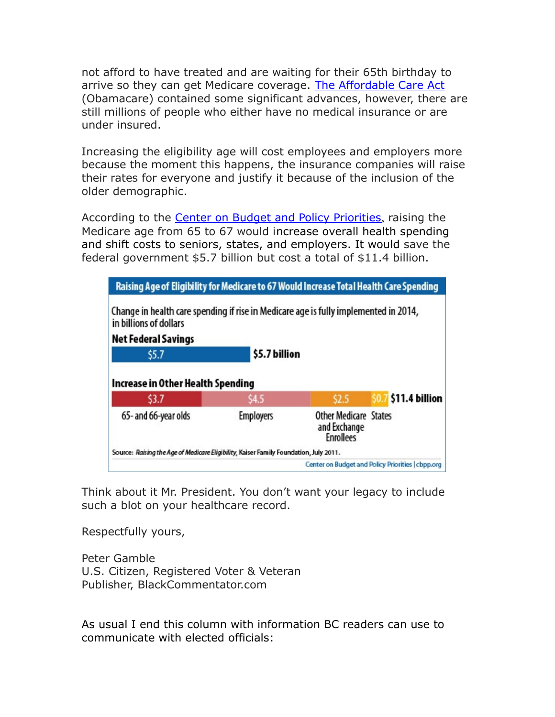not afford to have treated and are waiting for their 65th birthday to arrive so they can get Medicare coverage. [The Affordable Care Act](http://www.healthcare.gov/law/timeline/full.html) (Obamacare) contained some significant advances, however, there are still millions of people who either have no medical insurance or are under insured.

Increasing the eligibility age will cost employees and employers more because the moment this happens, the insurance companies will raise their rates for everyone and justify it because of the inclusion of the older demographic.

According to the **Center on Budget and Policy Priorities**, raising the Medicare age from 65 to 67 would increase overall health spending and shift costs to seniors, states, and employers. It would save the federal government \$5.7 billion but cost a total of \$11.4 billion.

| Raising Age of Eligibility for Medicare to 67 Would Increase Total Health Care Spending                        |                  |                                                                  |  |                |
|----------------------------------------------------------------------------------------------------------------|------------------|------------------------------------------------------------------|--|----------------|
| Change in health care spending if rise in Medicare age is fully implemented in 2014,<br>in billions of dollars |                  |                                                                  |  |                |
| Net Federal Savings                                                                                            |                  |                                                                  |  |                |
| \$5.7                                                                                                          | \$5.7 billion    |                                                                  |  |                |
| Increase in Other Health Spending                                                                              |                  |                                                                  |  |                |
| \$3.7                                                                                                          | \$4.5            | \$2.5                                                            |  | \$11.4 billion |
| 65- and 66-year olds                                                                                           | <b>Employers</b> | <b>Other Medicare States</b><br>and Exchange<br><b>Enrollees</b> |  |                |
| Source: Raising the Age of Medicare Eligibility, Kaiser Family Foundation, July 2011.                          |                  |                                                                  |  |                |
| Center on Budget and Policy Priorities   cbpp.org                                                              |                  |                                                                  |  |                |

Think about it Mr. President. You don't want your legacy to include such a blot on your healthcare record.

Respectfully yours,

Peter Gamble U.S. Citizen, Registered Voter & Veteran Publisher, BlackCommentator.com

As usual I end this column with information BC readers can use to communicate with elected officials: